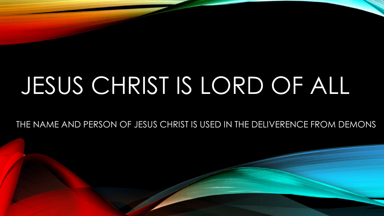# JESUS CHRIST IS LORD OF ALL

THE NAME AND PERSON OF JESUS CHRIST IS USED IN THE DELIVERENCE FROM DEMONS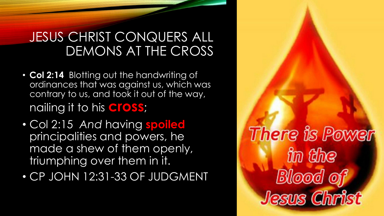#### JESUS CHRIST CONQUERS ALL DEMONS AT THE CROSS

- **Col 2:14** Blotting out the handwriting of ordinances that was against us, which was contrary to us, and took it out of the way, nailing it to his **cross**;
- Col 2:15 *And* having **spoiled** principalities and powers, he made a shew of them openly, triumphing over them in it.
- CP JOHN 12:31-33 OF JUDGMENT

There is Power in the **Blood of** Jesus Christ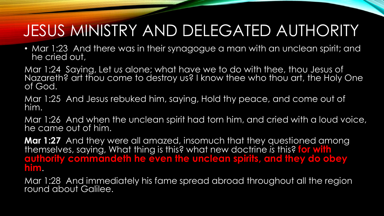## JESUS MINISTRY AND DELEGATED AUTHORITY

• Mar 1:23 And there was in their synagogue a man with an unclean spirit; and he cried out,

Mar 1:24 Saying, Let *us* alone; what have we to do with thee, thou Jesus of Nazareth? art thou come to destroy us? I know thee who thou art, the Holy One of God.

Mar 1:25 And Jesus rebuked him, saying, Hold thy peace, and come out of him.

Mar 1:26 And when the unclean spirit had torn him, and cried with a loud voice, he came out of him.

**Mar 1:27** And they were all amazed, insomuch that they questioned among themselves, saying, What thing is this? what new doctrine *is* this? **for with authority commandeth he even the unclean spirits, and they do obey him**.

Mar 1:28 And immediately his fame spread abroad throughout all the region round about Galilee.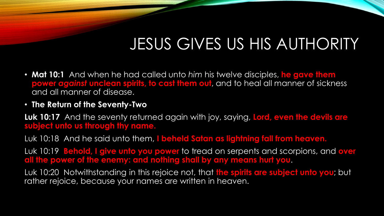### JESUS GIVES US HIS AUTHORITY

- **Mat 10:1** And when he had called unto *him* his twelve disciples, **he gave them power** *against* **unclean spirits, to cast them out**, and to heal all manner of sickness and all manner of disease.
- **The Return of the Seventy-Two**

**Luk 10:17** And the seventy returned again with joy, saying, **Lord, even the devils are subject unto us through thy name.**

Luk 10:18 And he said unto them, **I beheld Satan as lightning fall from heaven.**

Luk 10:19 **Behold, I give unto you power** to tread on serpents and scorpions, and **over all the power of the enemy: and nothing shall by any means hurt you**.

Luk 10:20 Notwithstanding in this rejoice not, that **the spirits are subject unto you**; but rather rejoice, because your names are written in heaven.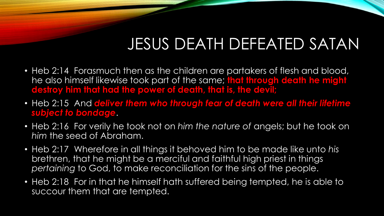## JESUS DEATH DEFEATED SATAN

- Heb 2:14 Forasmuch then as the children are partakers of flesh and blood, he also himself likewise took part of the same; **that through death he might destroy him that had the power of death, that is, the devil;**
- Heb 2:15 And *deliver them who through fear of death were all their lifetime subject to bondage*.
- Heb 2:16 For verily he took not on *him the nature of* angels; but he took on *him* the seed of Abraham.
- Heb 2:17 Wherefore in all things it behoved him to be made like unto *his* brethren, that he might be a merciful and faithful high priest in things *pertaining* to God, to make reconciliation for the sins of the people.
- Heb 2:18 For in that he himself hath suffered being tempted, he is able to succour them that are tempted.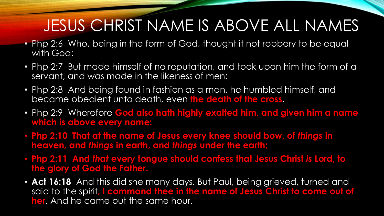## JESUS CHRIST NAME IS ABOVE ALL NAMES

- Php 2:6 Who, being in the form of God, thought it not robbery to be equal with God:
- Php 2:7 But made himself of no reputation, and took upon him the form of a servant, and was made in the likeness of men:
- Php 2:8 And being found in fashion as a man, he humbled himself, and became obedient unto death, even **the death of the cross**.
- Php 2:9 Wherefore **God also hath highly exalted him, and given him a name which is above every name:**
- **Php 2:10 That at the name of Jesus every knee should bow, of** *things* **in heaven, and** *things* **in earth, and** *things* **under the earth;**
- **Php 2:11 And** *that* **every tongue should confess that Jesus Christ** *is* **Lord, to the glory of God the Father.**
- **Act 16:18** And this did she many days. But Paul, being grieved, turned and said to the spirit**, I command thee in the name of Jesus Christ to come out of her**. And he came out the same hour.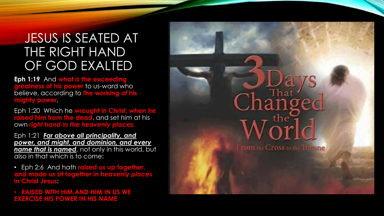#### JESUS IS SEATED AT THE RIGHT HAND OF GOD EXALTED

**Eph 1:19** And **what** *is* **the exceeding greatness of his power** to us-ward who believe, according to **the working of his mighty power**,

Eph 1:20 Which he **wrought in Christ, when he raised him from the dead**, and set *him* at his own *right hand in the heavenly places,*

Eph 1:21 *Far above all principality, and power, and might, and dominion, and every name that is named*, not only in this world, but also in that which is to come:

• Eph 2:6 And hath **raised** *us* **up together, and made** *us* **sit together in heavenly** *places* **in Christ Jesus**:

• **RAISED WITH HIM AND HIM IN US WE EXERCISE HIS POWER IN HIS NAME**



From the Cross to the Throne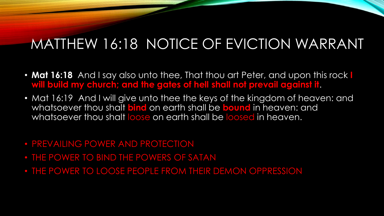#### MATTHEW 16:18 NOTICE OF EVICTION WARRANT

- **Mat 16:18** And I say also unto thee, That thou art Peter, and upon this rock **I will build my church; and the gates of hell shall not prevail against it**.
- Mat 16:19 And I will give unto thee the keys of the kingdom of heaven: and whatsoever thou shalt **bind** on earth shall be **bound** in heaven: and whatsoever thou shalt loose on earth shall be loosed in heaven.
- PREVAILING POWER AND PROTECTION
- THE POWER TO BIND THE POWERS OF SATAN
- THE POWER TO LOOSE PEOPLE FROM THEIR DEMON OPPRESSION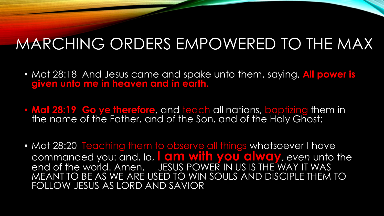## MARCHING ORDERS EMPOWERED TO THE MAX

- Mat 28:18 And Jesus came and spake unto them, saying, **All power is given unto me in heaven and in earth.**
- **Mat 28:19 Go ye therefore**, and teach all nations, baptizing them in the name of the Father, and of the Son, and of the Holy Ghost:
- Mat 28:20 Teaching them to observe all things whatsoever I have commanded you: and, lo, **I am with you alway**, *even* unto the end of the world. Amen. JESUS POWER IN US IS THE WAY IT WAS MEANT TO BE AS WE ARE USED TO WIN SOULS AND DISCIPLE THEM TO FOLLOW JESUS AS LORD AND SAVIOR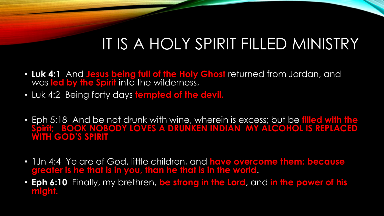## IT IS A HOLY SPIRIT FILLED MINISTRY

- **Luk 4:1** And **Jesus being full of the Holy Ghost** returned from Jordan, and was **led by the Spirit** into the wilderness,
- Luk 4:2 Being forty days **tempted of the devil.**
- Eph 5:18 And be not drunk with wine, wherein is excess; but be **filled with the Spirit; BOOK NOBODY LOVES A DRUNKEN INDIAN MY ALCOHOL IS REPLACED WITH GOD'S SPIRIT**
- 1Jn 4:4 Ye are of God, little children, and **have overcome them: because greater is he that is in you, than he that is in the world**.
- **Eph 6:10** Finally, my brethren, **be strong in the Lord**, and **in the power of his might.**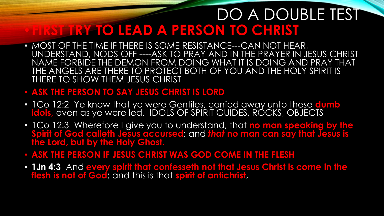#### DO A DOUBLE TEST • **FIRST TRY TO LEAD A PERSON TO CHRIST**

• MOST OF THE TIME IF THERE IS SOME RESISTANCE---CAN NOT HEAR, UNDERSTAND, NODS OFF ----ASK TO PRAY AND IN THE PRAYER IN JESUS CHRIST NAME FORBIDE THE DEMON FROM DOING WHAT IT IS DOING AND PRAY THAT THE ANGELS ARE THERE TO PROTECT BOTH OF YOU AND THE HOLY SPIRIT IS THERE TO SHOW THEM JESUS CHRIST

#### • **ASK THE PERSON TO SAY JESUS CHRIST IS LORD**

- 1Co 12:2 Ye know that ye were Gentiles, carried away unto these **dumb**  idols, even as ye were led. IDOLS OF SPIRIT GUIDES, RÓCKS, OBJECTS
- 1Co 12:3 Wherefore I give you to understand, that **no man speaking by the Spirit of God calleth Jesus accursed**: and *that* **no man can say that Jesus is the Lord, but by the Holy Ghost.**
- **ASK THE PERSON IF JESUS CHRIST WAS GOD COME IN THE FLESH**
- **1Jn 4:3** And **every spirit that confesseth not that Jesus Christ is come in the flesh is not of God**: and this is that **spirit of antichrist**,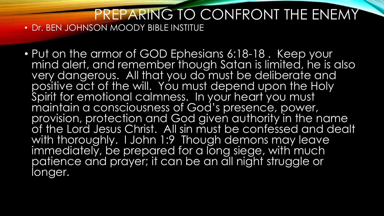#### PREPARING TO CONFRONT THE ENEMY • Dr. BEN JOHNSON MOODY BIBLE INSTITUE

• Put on the armor of GOD Ephesians 6:18-18 . Keep your mind alert, and remember though Satan is limited, he is also very dangerous. All that you do must be deliberate and positive act of the will. You must depend upon the Holy Spirit for emotional calmness. In your heart you must maintain a consciousness of God's presence, power, provision, protection and God given authority in the name of the Lord Jesus Christ. All sin must be confessed and dealt with thoroughly. I John 1:9 Though demons may leave immediately, be prepared for a long siege, with much patience and prayer; it can be an all night struggle or longer.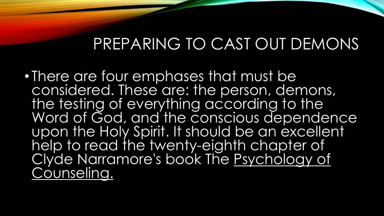• There are four emphases that must be considered. These are: the person, demons, the testing of everything according to the Word of God, and the conscious dependence upon the Holy Spirit. It should be an excellent help to read the twenty-eighth chapter of Clyde Narramore's book The Psychology of Counseling.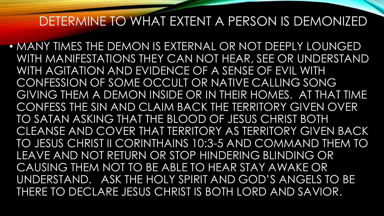#### DETERMINE TO WHAT EXTENT A PERSON IS DEMONIZED

• MANY TIMES THE DEMON IS EXTERNAL OR NOT DEEPLY LOUNGED WITH MANIFESTATIONS THEY CAN NOT HEAR, SEE OR UNDERSTAND WITH AGITATION AND EVIDENCE OF A SENSE OF EVIL WITH CONFESSION OF SOME OCCULT OR NATIVE CALLING SONG GIVING THEM A DEMON INSIDE OR IN THEIR HOMES. AT THAT TIME CONFESS THE SIN AND CLAIM BACK THE TERRITORY GIVEN OVER TO SATAN ASKING THAT THE BLOOD OF JESUS CHRIST BOTH CLEANSE AND COVER THAT TERRITORY AS TERRITORY GIVEN BACK TO JESUS CHRIST II CORINTHAINS 10:3-5 AND COMMAND THEM TO LEAVE AND NOT RETURN OR STOP HINDERING BLINDING OR CAUSING THEM NOT TO BE ABLE TO HEAR STAY AWAKE OR UNDERSTAND. ASK THE HOLY SPIRIT AND GOD'S ANGELS TO BE THERE TO DECLARE JESUS CHRIST IS BOTH LORD AND SAVIOR.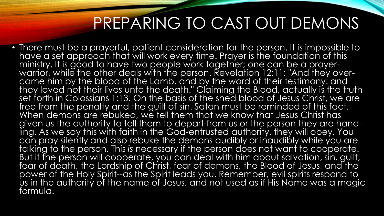• There must be a prayerful, patient consideration for the person. It is impossible to have a set approach that will work every time. Prayer is the foundation of this ministry. It is good to have two people work together; one can be a prayerwarrior, while the other deals with the person. Revelation 12:11: "And they overcame him by the blood of the Lamb, and by the word of their testimony: and they loved not their lives unto the death." Claiming the Blood, actually is the truth set forth in Colossians 1:13. On the basis of the shed blood of Jesus Christ, we are free from the penalty and the guilt of sin. Satan must be reminded of this fact. When demons are rebuked, we tell them that we know that Jesus Christ has given us the authority to tell them to depart from us or the person they are handling. As we say this with faith in the God-entrusted authority, they will obey. You can pray silently and also rebuke the demons audibly or inaudibly while you are talking to the person. This *is* necessary if the person does not want to cooperate. But if the person will cooperate, you can deal with him about salvation, sin, guilt, fear of death, the Lordship of Christ, fear of demons, the Blood of Jesus, and the power of the Holy Spirit--as the Spirit leads you. Remember, evil spirits respond to us in the authority of the name of Jesus, and not used as if His Name was a magic formula.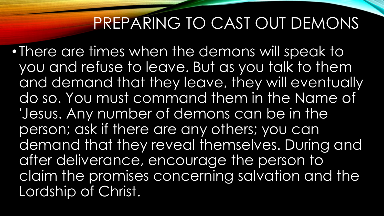• There are times when the demons will speak to you and refuse to leave. But as you talk to them and demand that they leave, they will eventually do so. You must command them in the Name of 'Jesus. Any number of demons can be in the person; ask if there are any others; you can demand that they reveal themselves. During and after deliverance, encourage the person to claim the promises concerning salvation and the Lordship of Christ.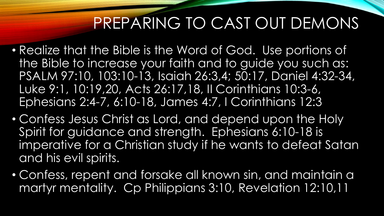- Realize that the Bible is the Word of God. Use portions of the Bible to increase your faith and to guide you such as: PSALM 97:10, 103:10-13, Isaiah 26:3,4; 50:17, Daniel 4:32-34, Luke 9:1, 10:19,20, Acts 26:17,18, II Corinthians 10:3-6, Ephesians 2:4-7, 6:10-18, James 4:7, I Corinthians 12:3
- Confess Jesus Christ as Lord, and depend upon the Holy Spirit for guidance and strength. Ephesians 6:10-18 is imperative for a Christian study if he wants to defeat Satan and his evil spirits.
- Confess, repent and forsake all known sin, and maintain a martyr mentality. Cp Philippians 3:10, Revelation 12:10,11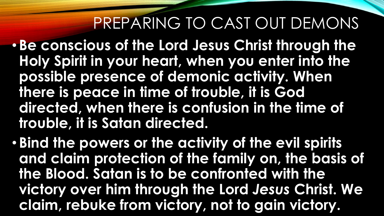- **Be conscious of the Lord Jesus Christ through the Holy Spirit in your heart, when you enter into the possible presence of demonic activity. When there is peace in time of trouble, it is God directed, when there is confusion in the time of trouble, it is Satan directed.**
- **Bind the powers or the activity of the evil spirits and claim protection of the family on, the basis of the Blood. Satan is to be confronted with the victory over him through the Lord** *Jesus* **Christ. We claim, rebuke from victory, not to gain victory.**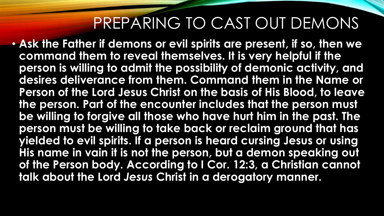• **Ask the Father if demons or evil spirits are present, if so, then we command them to reveal themselves. It is very helpful if the person is willing to admit the possibility of demonic activity, and desires deliverance from them. Command them in the Name or Person of the Lord Jesus Christ on the basis of His Blood, to leave the person. Part of the encounter includes that the person must be willing to forgive all those who have hurt him in the past. The person must be willing to take back or reclaim ground that has yielded to evil spirits. If a person is heard cursing Jesus or using His name in vain it is not the person, but a demon speaking out of the Person body. According to I Cor. 12:3, a Christian cannot talk about the Lord** *Jesus* **Christ in a derogatory manner.**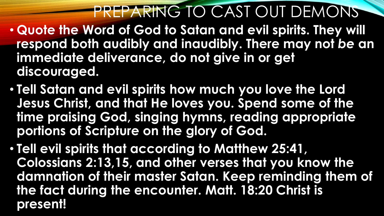- **Quote the Word of God to Satan and evil spirits. They will respond both audibly and inaudibly. There may not** *be* **an immediate deliverance, do not give in or get discouraged.**
- **Tell Satan and evil spirits how much you love the Lord Jesus Christ, and that He loves you. Spend some of the time praising God, singing hymns, reading appropriate portions of Scripture on the glory of God.**
- **Tell evil spirits that according to Matthew 25:41, Colossians 2:13,15, and other verses that you know the damnation of their master Satan. Keep reminding them of the fact during the encounter. Matt. 18:20 Christ is present!**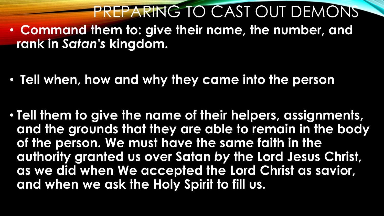PREPARING TO CAST OUT DEMONS • **Command them to: give their name, the number, and rank in** *Satan's* **kingdom.**

• **Tell when, how and why they came into the person**

• **Tell them to give the name of their helpers, assignments, and the grounds that they are able to remain in the body of the person. We must have the same faith in the authority granted us over Satan** *by* **the Lord Jesus Christ, as we did when We accepted the Lord Christ as savior, and when we ask the Holy Spirit to fill us.**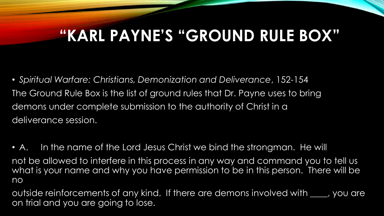• *Spiritual Warfare: Christians, Demonization and Deliverance*, 152-154 The Ground Rule Box is the list of ground rules that Dr. Payne uses to bring demons under complete submission to the authority of Christ in a deliverance session.

• A. In the name of the Lord Jesus Christ we bind the strongman. He will not be allowed to interfere in this process in any way and command you to tell us what is your name and why you have permission to be in this person. There will be no

outside reinforcements of any kind. If there are demons involved with \_\_\_\_, you are on trial and you are going to lose.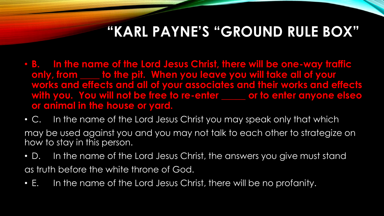- **B. In the name of the Lord Jesus Christ, there will be one-way traffic only, from \_\_\_\_ to the pit. When you leave you will take all of your works and effects and all of your associates and their works and effects with you. You will not be free to re-enter \_\_\_\_\_ or to enter anyone elseo or animal in the house or yard.**
- C. In the name of the Lord Jesus Christ you may speak only that which may be used against you and you may not talk to each other to strategize on how to stay in this person.
- D. In the name of the Lord Jesus Christ, the answers you give must stand as truth before the white throne of God.
- E. In the name of the Lord Jesus Christ, there will be no profanity.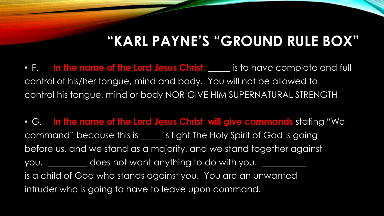• F. In the name of the Lord Jesus Christ, <u>the section</u> is to have complete and full control of his/her tongue, mind and body. You will not be allowed to control his tongue, mind or body NOR GIVE HIM SUPERNATURAL STRENGTH

• G. **In the name of the Lord Jesus Christ will give commands** stating "We command" because this is \_\_\_\_\_'s fight The Holy Spirit of God is going before us, and we stand as a majority, and we stand together against you. \_\_\_\_\_\_\_\_\_\_ does not want anything to do with you. is a child of God who stands against you. You are an unwanted intruder who is going to have to leave upon command.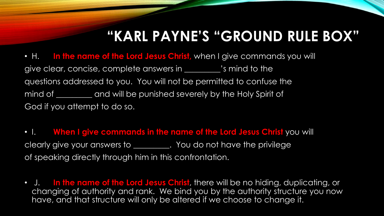• H. **In the name of the Lord Jesus Christ,** when I give commands you will give clear, concise, complete answers in \_\_\_\_\_\_\_\_\_'s mind to the questions addressed to you. You will not be permitted to confuse the mind of **will be punished severely by the Holy Spirit of** God if you attempt to do so.

• I. **When I give commands in the name of the Lord Jesus Christ** you will clearly give your answers to \_\_\_\_\_\_\_\_\_. You do not have the privilege of speaking directly through him in this confrontation.

• J. **In the name of the Lord Jesus Christ**, there will be no hiding, duplicating, or changing of authority and rank. We bind you by the authority structure you now have, and that structure will only be altered if we choose to change it.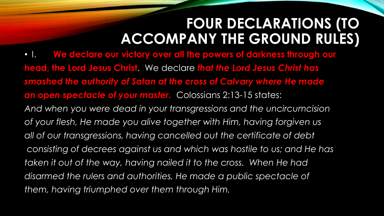• I. **We declare our victory over all the powers of darkness through our head, the Lord Jesus Christ**. We declare *that the Lord Jesus Christ has smashed the authority of Satan at the cross of Calvary where He made an open spectacle of your master.* Colossians 2:13-15 states: *And when you were dead in your transgressions and the uncircumcision of your flesh, He made you alive together with Him, having forgiven us* all of our transgressions, having cancelled out the certificate of debt *consisting of decrees against us and which was hostile to us; and He has taken it out of the way, having nailed it to the cross. When He had disarmed the rulers and authorities, He made a public spectacle of them, having triumphed over them through Him.*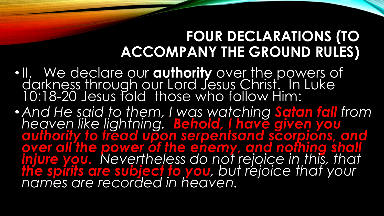- •II. We declare our **authority** over the powers of darkness through our Lord Jesus Christ. In Luke 10:18-20 Jesus told those who follow Him:
- *And He said to them, I was watching Satan fall from heaven like lightning. Behold, I have given you authority to tread upon serpentsand scorpions, and*  **over all the power of the enemy, and nothing shall** *injure you. Nevertheless do not rejoice in this, that the spirits are subject to you, but rejoice that your names are recorded in heaven.*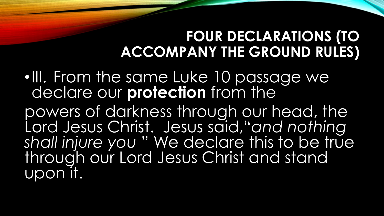•III. From the same Luke 10 passage we declare our **protection** from the

powers of darkness through our head, the Lord Jesus Christ. Jesus said,"*and nothing shall injure you* " We declare this to be true through our Lord Jesus Christ and stand upon it.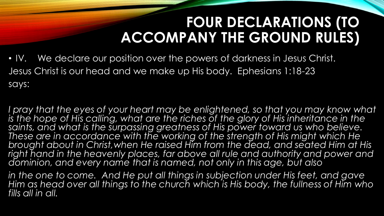• IV. We declare our position over the powers of darkness in Jesus Christ. Jesus Christ is our head and we make up His body. Ephesians 1:18-23 says:

*I pray that the eyes of your heart may be enlightened, so that you may know what* is the hope of His calling, what are the riches of the glory of His inheritance in the saints, and what is the surpassing greatness of His power toward us who believe. These are in accordance with the working of the strength of His might which He *brought about in Christ,when He raised Him from the dead, and seated Him at His right hand in the heavenly places, far above all rule and authority and power and dominion, and every name that is named, not only in this age, but also*

*in the one to come. And He put all things in subjection under His feet, and gave Him as head over all things to the church which is His body, the fullness of Him who fills all in all.*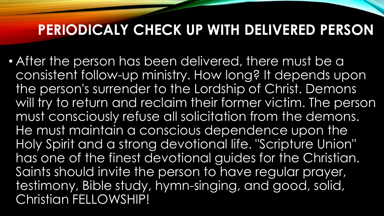#### **PERIODICALY CHECK UP WITH DELIVERED PERSON**

• After the person has been delivered, there must be a consistent follow-up ministry. How long? It depends upon the person's surrender to the Lordship of Christ. Demons will try to return and reclaim their former victim. The person must consciously refuse all solicitation from the demons. He must maintain a conscious dependence upon the Holy Spirit and a strong devotional life. "Scripture Union" has one of the finest devotional guides for the Christian. Saints should invite the person to have regular prayer, testimony, Bible study, hymn-singing, and good, solid, Christian FELLOWSHIP!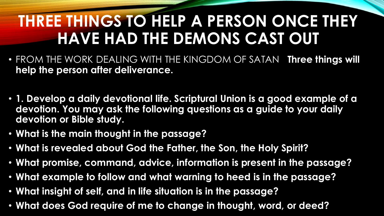## **THREE THINGS TO HELP A PERSON ONCE THEY HAVE HAD THE DEMONS CAST OUT**

- FROM THE WORK DEALING WITH THE KINGDOM OF SATAN **Three things will help the person after deliverance.**
- **1. Develop a daily devotional life. Scriptural Union is a good example of a devotion. You may ask the following questions as a guide to your daily devotion or Bible study.**
- **What is the main thought in the passage?**
- **What is revealed about God the Father, the Son, the Holy Spirit?**
- **What promise, command, advice, information is present in the passage?**
- **What example to follow and what warning to heed is in the passage?**
- **What insight of self, and in life situation is in the passage?**
- **What does God require of me to change in thought, word, or deed?**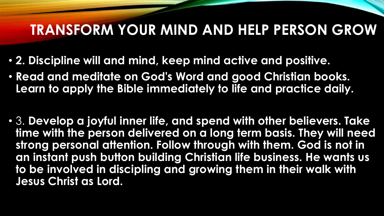#### **TRANSFORM YOUR MIND AND HELP PERSON GROW**

- **2. Discipline will and mind, keep mind active and positive.**
- **Read and meditate on God's Word and good Christian books. Learn to apply the Bible immediately to life and practice daily.**
- 3. **Develop a joyful inner life, and spend with other believers. Take time with the person delivered on a long term basis. They will need strong personal attention. Follow through with them. God is not in an instant push button building Christian life business. He wants us to be involved in discipling and growing them in their walk with Jesus Christ as Lord.**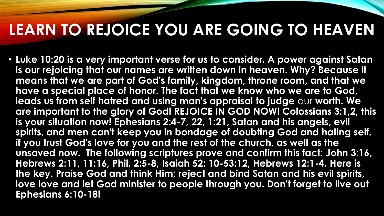### **LEARN TO REJOICE YOU ARE GOING TO HEAVEN**

• **Luke 10:20 is a very important verse for us to consider. A power against Satan is our rejoicing that our names are written down in heaven. Why? Because it means that we are part of God's family, kingdom, throne room, and that we have a special place of honor. The fact that we know who we are to God, leads us from self hatred and using man's appraisal to judge** our **worth. We are important to the glory of God! REJOICE IN GOD NOW! Colossians 3:1,2, this is your situation now! Ephesians 2:4-7, 22, 1:21, Satan and his angels, evil spirits, and men can't keep you in bondage of doubting God and hating self, if you trust God's love for you and the rest of the church, as well as the unsaved now. The following scriptures prove and confirm this fact: John 3:16, Hebrews 2:11, 11:16, Phil. 2:5-8, Isaiah 52: 10-53:12, Hebrews 12:1-4. Here is the key. Praise God and think Him; reject and bind Satan and his evil spirits, love love and let God minister to people through you. Don't forget to live out Ephesians 6:10-18!**